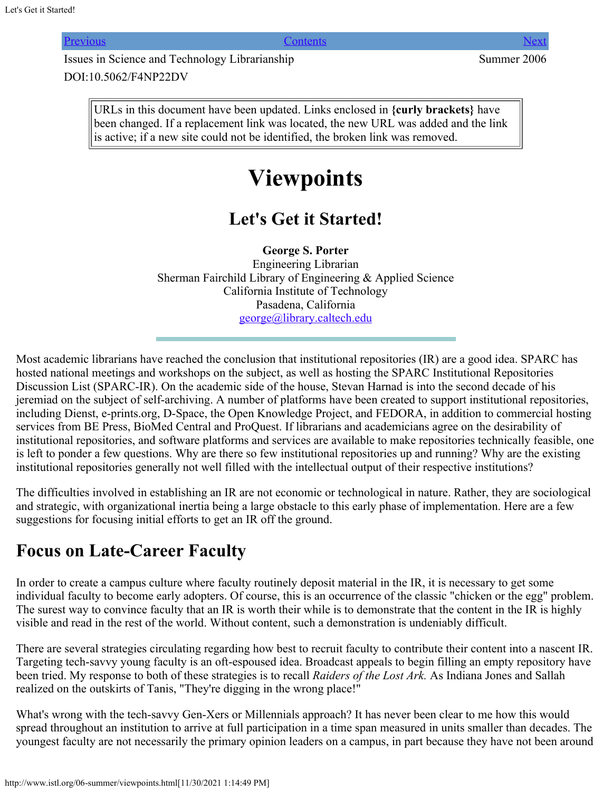#### [Previous](http://www.istl.org/06-summer/review5.html) Next Next Association [Contents](http://www.istl.org/06-summer/index.html) [Next](http://www.istl.org/06-summer/index.html) Association Contents Next Association Next Next

Issues in Science and Technology Librarianship Summer 2006 DOI:10.5062/F4NP22DV

URLs in this document have been updated. Links enclosed in **{curly brackets}** have been changed. If a replacement link was located, the new URL was added and the link is active; if a new site could not be identified, the broken link was removed.

# **Viewpoints**

### **Let's Get it Started!**

**George S. Porter** Engineering Librarian

Sherman Fairchild Library of Engineering & Applied Science California Institute of Technology Pasadena, California [george@library.caltech.edu](mailto:george@library.caltech.edu)

Most academic librarians have reached the conclusion that institutional repositories (IR) are a good idea. SPARC has hosted national meetings and workshops on the subject, as well as hosting the SPARC Institutional Repositories Discussion List (SPARC-IR). On the academic side of the house, Stevan Harnad is into the second decade of his jeremiad on the subject of self-archiving. A number of platforms have been created to support institutional repositories, including Dienst, e-prints.org, D-Space, the Open Knowledge Project, and FEDORA, in addition to commercial hosting services from BE Press, BioMed Central and ProQuest. If librarians and academicians agree on the desirability of institutional repositories, and software platforms and services are available to make repositories technically feasible, one is left to ponder a few questions. Why are there so few institutional repositories up and running? Why are the existing institutional repositories generally not well filled with the intellectual output of their respective institutions?

The difficulties involved in establishing an IR are not economic or technological in nature. Rather, they are sociological and strategic, with organizational inertia being a large obstacle to this early phase of implementation. Here are a few suggestions for focusing initial efforts to get an IR off the ground.

### **Focus on Late-Career Faculty**

In order to create a campus culture where faculty routinely deposit material in the IR, it is necessary to get some individual faculty to become early adopters. Of course, this is an occurrence of the classic "chicken or the egg" problem. The surest way to convince faculty that an IR is worth their while is to demonstrate that the content in the IR is highly visible and read in the rest of the world. Without content, such a demonstration is undeniably difficult.

There are several strategies circulating regarding how best to recruit faculty to contribute their content into a nascent IR. Targeting tech-savvy young faculty is an oft-espoused idea. Broadcast appeals to begin filling an empty repository have been tried. My response to both of these strategies is to recall *Raiders of the Lost Ark.* As Indiana Jones and Sallah realized on the outskirts of Tanis, "They're digging in the wrong place!"

What's wrong with the tech-savvy Gen-Xers or Millennials approach? It has never been clear to me how this would spread throughout an institution to arrive at full participation in a time span measured in units smaller than decades. The youngest faculty are not necessarily the primary opinion leaders on a campus, in part because they have not been around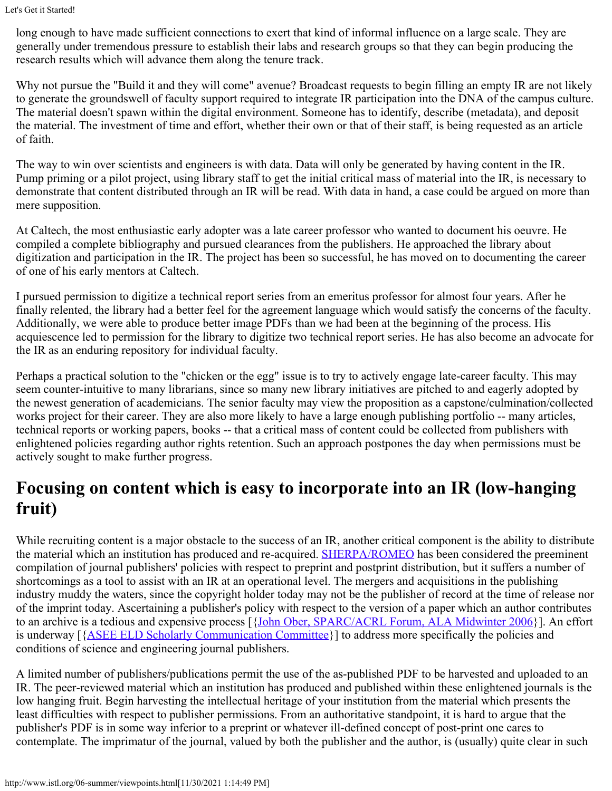long enough to have made sufficient connections to exert that kind of informal influence on a large scale. They are generally under tremendous pressure to establish their labs and research groups so that they can begin producing the research results which will advance them along the tenure track.

Why not pursue the "Build it and they will come" avenue? Broadcast requests to begin filling an empty IR are not likely to generate the groundswell of faculty support required to integrate IR participation into the DNA of the campus culture. The material doesn't spawn within the digital environment. Someone has to identify, describe (metadata), and deposit the material. The investment of time and effort, whether their own or that of their staff, is being requested as an article of faith.

The way to win over scientists and engineers is with data. Data will only be generated by having content in the IR. Pump priming or a pilot project, using library staff to get the initial critical mass of material into the IR, is necessary to demonstrate that content distributed through an IR will be read. With data in hand, a case could be argued on more than mere supposition.

At Caltech, the most enthusiastic early adopter was a late career professor who wanted to document his oeuvre. He compiled a complete bibliography and pursued clearances from the publishers. He approached the library about digitization and participation in the IR. The project has been so successful, he has moved on to documenting the career of one of his early mentors at Caltech.

I pursued permission to digitize a technical report series from an emeritus professor for almost four years. After he finally relented, the library had a better feel for the agreement language which would satisfy the concerns of the faculty. Additionally, we were able to produce better image PDFs than we had been at the beginning of the process. His acquiescence led to permission for the library to digitize two technical report series. He has also become an advocate for the IR as an enduring repository for individual faculty.

Perhaps a practical solution to the "chicken or the egg" issue is to try to actively engage late-career faculty. This may seem counter-intuitive to many librarians, since so many new library initiatives are pitched to and eagerly adopted by the newest generation of academicians. The senior faculty may view the proposition as a capstone/culmination/collected works project for their career. They are also more likely to have a large enough publishing portfolio -- many articles, technical reports or working papers, books -- that a critical mass of content could be collected from publishers with enlightened policies regarding author rights retention. Such an approach postpones the day when permissions must be actively sought to make further progress.

## **Focusing on content which is easy to incorporate into an IR (low-hanging fruit)**

While recruiting content is a major obstacle to the success of an IR, another critical component is the ability to distribute the material which an institution has produced and re-acquired. [SHERPA/ROMEO](http://www.sherpa.ac.uk/romeo.php) has been considered the preeminent compilation of journal publishers' policies with respect to preprint and postprint distribution, but it suffers a number of shortcomings as a tool to assist with an IR at an operational level. The mergers and acquisitions in the publishing industry muddy the waters, since the copyright holder today may not be the publisher of record at the time of release nor of the imprint today. Ascertaining a publisher's policy with respect to the version of a paper which an author contributes to an archive is a tedious and expensive process [[{John Ober, SPARC/ACRL Forum, ALA Midwinter 2006](http://sparc.arl.org/events/sparc-acrl-forum/ala06mw)}]. An effort is underway [[{ASEE ELD Scholarly Communication Committee](http://depts.washington.edu/englib/eld/scc.php)}] to address more specifically the policies and conditions of science and engineering journal publishers.

A limited number of publishers/publications permit the use of the as-published PDF to be harvested and uploaded to an IR. The peer-reviewed material which an institution has produced and published within these enlightened journals is the low hanging fruit. Begin harvesting the intellectual heritage of your institution from the material which presents the least difficulties with respect to publisher permissions. From an authoritative standpoint, it is hard to argue that the publisher's PDF is in some way inferior to a preprint or whatever ill-defined concept of post-print one cares to contemplate. The imprimatur of the journal, valued by both the publisher and the author, is (usually) quite clear in such